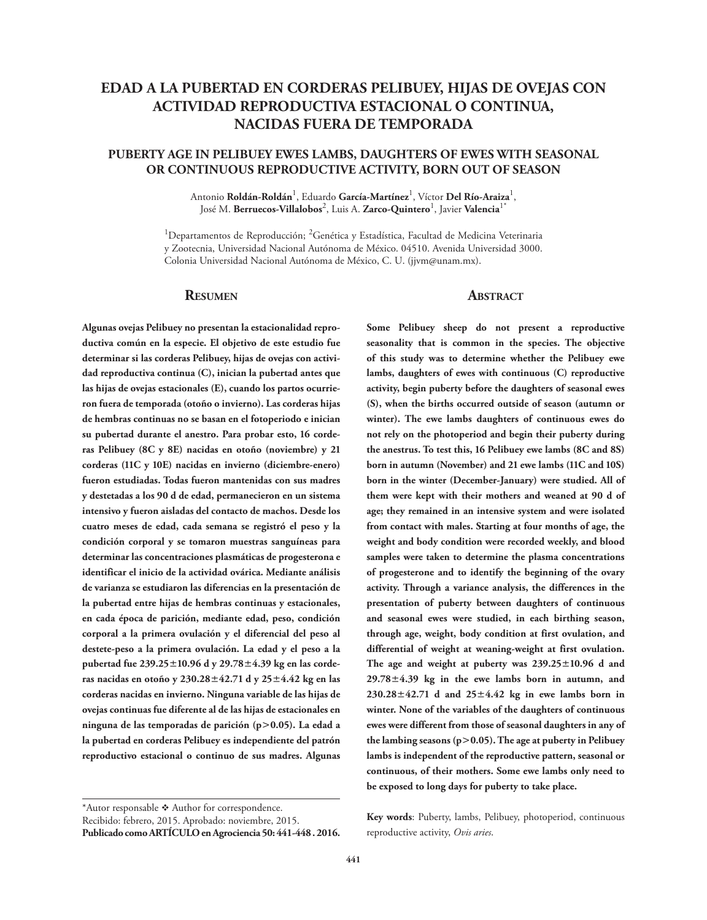# **EDAD A LA PUBERTAD EN CORDERAS PELIBUEY, HIJAS DE OVEJAS CON ACTIVIDAD REPRODUCTIVA ESTACIONAL O CONTINUA, NACIDAS FUERA DE TEMPORADA**

# **PUBERTY AGE IN PELIBUEY EWES LAMBS, DAUGHTERS OF EWES WITH SEASONAL OR CONTINUOUS REPRODUCTIVE ACTIVITY, BORN OUT OF SEASON**

Antonio **Roldán-Roldán<sup>1</sup>, Eduardo <b>García-Martínez<sup>1</sup>,** Víctor **Del Río-Araiza<sup>1</sup>,** José M. **Berruecos-Villalobos**<sup>2</sup> , Luis A. **Zarco-Quintero**<sup>1</sup> , Javier **Valencia**1\*

<sup>1</sup>Departamentos de Reproducción; <sup>2</sup>Genética y Estadística, Facultad de Medicina Veterinaria y Zootecnia, Universidad Nacional Autónoma de México. 04510. Avenida Universidad 3000. Colonia Universidad Nacional Autónoma de México, C. U. (jjvm@unam.mx).

### **Resumen**

**Algunas ovejas Pelibuey no presentan la estacionalidad repro-**

**ductiva común en la especie. El objetivo de este estudio fue determinar si las corderas Pelibuey, hijas de ovejas con actividad reproductiva continua (C), inician la pubertad antes que las hijas de ovejas estacionales (E), cuando los partos ocurrieron fuera de temporada (otoño o invierno). Las corderas hijas de hembras continuas no se basan en el fotoperiodo e inician su pubertad durante el anestro. Para probar esto, 16 corderas Pelibuey (8C y 8E) nacidas en otoño (noviembre) y 21 corderas (11C y 10E) nacidas en invierno (diciembre-enero) fueron estudiadas. Todas fueron mantenidas con sus madres y destetadas a los 90 d de edad, permanecieron en un sistema intensivo y fueron aisladas del contacto de machos. Desde los cuatro meses de edad, cada semana se registró el peso y la condición corporal y se tomaron muestras sanguíneas para determinar las concentraciones plasmáticas de progesterona e identificar el inicio de la actividad ovárica. Mediante análisis de varianza se estudiaron las diferencias en la presentación de la pubertad entre hijas de hembras continuas y estacionales, en cada época de parición, mediante edad, peso, condición corporal a la primera ovulación y el diferencial del peso al destete-peso a la primera ovulación. La edad y el peso a la pubertad fue 239.2510.96 d y 29.784.39 kg en las corderas nacidas en otoño y 230.2842.71 d y 254.42 kg en las corderas nacidas en invierno. Ninguna variable de las hijas de ovejas continuas fue diferente al de las hijas de estacionales en ninguna de las temporadas de parición (p0.05). La edad a la pubertad en corderas Pelibuey es independiente del patrón reproductivo estacional o continuo de sus madres. Algunas** 

**Publicado como ARTÍCULO en Agrociencia 50: 441-448 . 2016.**

### **ABSTRACT**

**Some Pelibuey sheep do not present a reproductive seasonality that is common in the species. The objective of this study was to determine whether the Pelibuey ewe lambs, daughters of ewes with continuous (C) reproductive activity, begin puberty before the daughters of seasonal ewes (S), when the births occurred outside of season (autumn or winter). The ewe lambs daughters of continuous ewes do not rely on the photoperiod and begin their puberty during the anestrus. To test this, 16 Pelibuey ewe lambs (8C and 8S) born in autumn (November) and 21 ewe lambs (11C and 10S) born in the winter (December-January) were studied. All of them were kept with their mothers and weaned at 90 d of age; they remained in an intensive system and were isolated from contact with males. Starting at four months of age, the weight and body condition were recorded weekly, and blood samples were taken to determine the plasma concentrations of progesterone and to identify the beginning of the ovary activity. Through a variance analysis, the differences in the presentation of puberty between daughters of continuous and seasonal ewes were studied, in each birthing season, through age, weight, body condition at first ovulation, and differential of weight at weaning-weight at first ovulation. The age and weight at puberty was 239.2510.96 d and 29.784.39 kg in the ewe lambs born in autumn, and 230.2842.71 d and 254.42 kg in ewe lambs born in winter. None of the variables of the daughters of continuous ewes were different from those of seasonal daughters in any of the lambing seasons (p0.05). The age at puberty in Pelibuey lambs is independent of the reproductive pattern, seasonal or continuous, of their mothers. Some ewe lambs only need to be exposed to long days for puberty to take place.**

**Key words**: Puberty, lambs, Pelibuey, photoperiod, continuous reproductive activity, *Ovis aries*.

<sup>\*</sup>Autor responsable \* Author for correspondence.

Recibido: febrero, 2015. Aprobado: noviembre, 2015.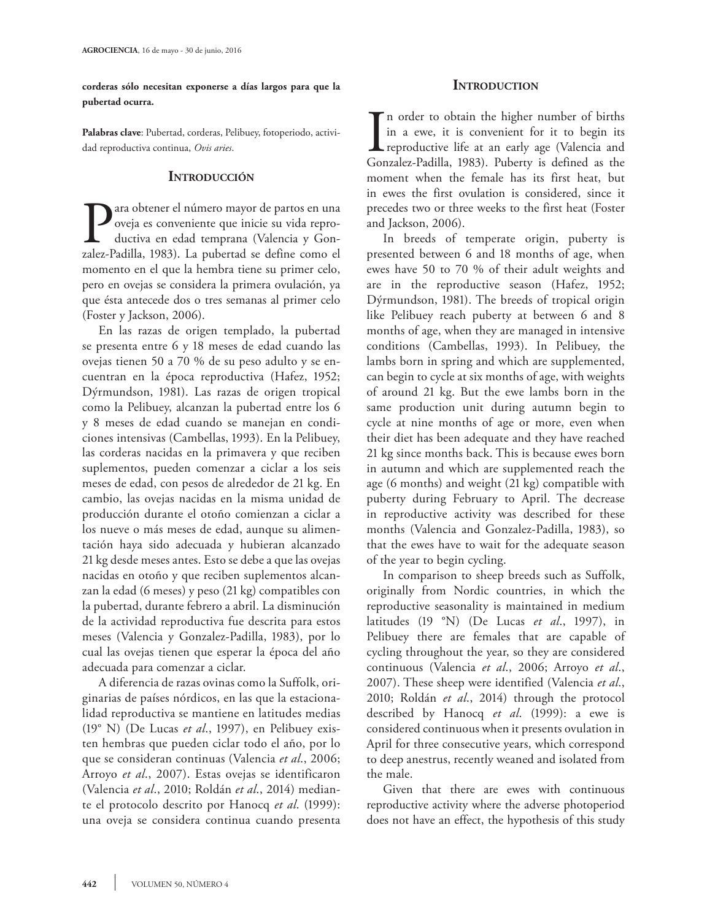**corderas sólo necesitan exponerse a días largos para que la pubertad ocurra.**

**Palabras clave**: Pubertad, corderas, Pelibuey, fotoperiodo, actividad reproductiva continua, *Ovis aries*.

# **INTRODUCCIÓN**

ara obtener el número mayor de partos en una oveja es conveniente que inicie su vida reproductiva en edad temprana (Valencia y Gonzalez-Padilla, 1983). La pubertad se define como el momento en el que la hembra tiene su primer celo, pero en ovejas se considera la primera ovulación, ya que ésta antecede dos o tres semanas al primer celo (Foster y Jackson, 2006).

En las razas de origen templado, la pubertad se presenta entre 6 y 18 meses de edad cuando las ovejas tienen 50 a 70 % de su peso adulto y se encuentran en la época reproductiva (Hafez, 1952; Dýrmundson, 1981). Las razas de origen tropical como la Pelibuey, alcanzan la pubertad entre los 6 y 8 meses de edad cuando se manejan en condiciones intensivas (Cambellas, 1993). En la Pelibuey, las corderas nacidas en la primavera y que reciben suplementos, pueden comenzar a ciclar a los seis meses de edad, con pesos de alrededor de 21 kg. En cambio, las ovejas nacidas en la misma unidad de producción durante el otoño comienzan a ciclar a los nueve o más meses de edad, aunque su alimentación haya sido adecuada y hubieran alcanzado 21 kg desde meses antes. Esto se debe a que las ovejas nacidas en otoño y que reciben suplementos alcanzan la edad (6 meses) y peso (21 kg) compatibles con la pubertad, durante febrero a abril. La disminución de la actividad reproductiva fue descrita para estos meses (Valencia y Gonzalez-Padilla, 1983), por lo cual las ovejas tienen que esperar la época del año adecuada para comenzar a ciclar.

A diferencia de razas ovinas como la Suffolk, originarias de países nórdicos, en las que la estacionalidad reproductiva se mantiene en latitudes medias (19° N) (De Lucas *et al*., 1997), en Pelibuey existen hembras que pueden ciclar todo el año, por lo que se consideran continuas (Valencia *et al*., 2006; Arroyo *et al*., 2007). Estas ovejas se identificaron (Valencia *et al*., 2010; Roldán *et al*., 2014) mediante el protocolo descrito por Hanocq *et al*. (1999): una oveja se considera continua cuando presenta

# **INTRODUCTION**

In order to obtain the higher number of births<br>in a ewe, it is convenient for it to begin its<br>reproductive life at an early age (Valencia and<br>Gonzalez-Padilla, 1983). Puberty is defined as the n order to obtain the higher number of births in a ewe, it is convenient for it to begin its reproductive life at an early age (Valencia and moment when the female has its first heat, but in ewes the first ovulation is considered, since it precedes two or three weeks to the first heat (Foster and Jackson, 2006).

In breeds of temperate origin, puberty is presented between 6 and 18 months of age, when ewes have 50 to 70 % of their adult weights and are in the reproductive season (Hafez, 1952; Dýrmundson, 1981). The breeds of tropical origin like Pelibuey reach puberty at between 6 and 8 months of age, when they are managed in intensive conditions (Cambellas, 1993). In Pelibuey, the lambs born in spring and which are supplemented, can begin to cycle at six months of age, with weights of around 21 kg. But the ewe lambs born in the same production unit during autumn begin to cycle at nine months of age or more, even when their diet has been adequate and they have reached 21 kg since months back. This is because ewes born in autumn and which are supplemented reach the age (6 months) and weight (21 kg) compatible with puberty during February to April. The decrease in reproductive activity was described for these months (Valencia and Gonzalez-Padilla, 1983), so that the ewes have to wait for the adequate season of the year to begin cycling.

In comparison to sheep breeds such as Suffolk, originally from Nordic countries, in which the reproductive seasonality is maintained in medium latitudes (19 °N) (De Lucas *et al*., 1997), in Pelibuey there are females that are capable of cycling throughout the year, so they are considered continuous (Valencia *et al*., 2006; Arroyo *et al*., 2007). These sheep were identified (Valencia *et al*., 2010; Roldán *et al*., 2014) through the protocol described by Hanocq *et al*. (1999): a ewe is considered continuous when it presents ovulation in April for three consecutive years, which correspond to deep anestrus, recently weaned and isolated from the male.

Given that there are ewes with continuous reproductive activity where the adverse photoperiod does not have an effect, the hypothesis of this study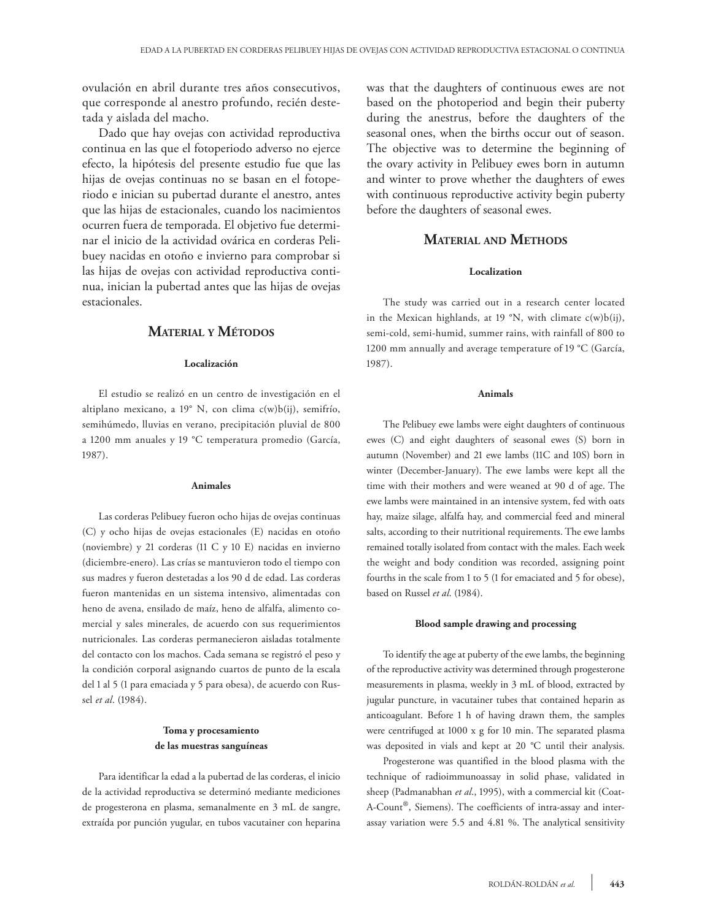ovulación en abril durante tres años consecutivos, que corresponde al anestro profundo, recién destetada y aislada del macho.

Dado que hay ovejas con actividad reproductiva continua en las que el fotoperiodo adverso no ejerce efecto, la hipótesis del presente estudio fue que las hijas de ovejas continuas no se basan en el fotoperiodo e inician su pubertad durante el anestro, antes que las hijas de estacionales, cuando los nacimientos ocurren fuera de temporada. El objetivo fue determinar el inicio de la actividad ovárica en corderas Pelibuey nacidas en otoño e invierno para comprobar si las hijas de ovejas con actividad reproductiva continua, inician la pubertad antes que las hijas de ovejas estacionales.

# **Material y Métodos**

### **Localización**

El estudio se realizó en un centro de investigación en el altiplano mexicano, a 19° N, con clima c(w)b(ij), semifrío, semihúmedo, lluvias en verano, precipitación pluvial de 800 a 1200 mm anuales y 19 °C temperatura promedio (García, 1987).

#### **Animales**

Las corderas Pelibuey fueron ocho hijas de ovejas continuas (C) y ocho hijas de ovejas estacionales (E) nacidas en otoño (noviembre) y 21 corderas (11 C y 10 E) nacidas en invierno (diciembre-enero). Las crías se mantuvieron todo el tiempo con sus madres y fueron destetadas a los 90 d de edad. Las corderas fueron mantenidas en un sistema intensivo, alimentadas con heno de avena, ensilado de maíz, heno de alfalfa, alimento comercial y sales minerales, de acuerdo con sus requerimientos nutricionales. Las corderas permanecieron aisladas totalmente del contacto con los machos. Cada semana se registró el peso y la condición corporal asignando cuartos de punto de la escala del 1 al 5 (1 para emaciada y 5 para obesa), de acuerdo con Russel *et al*. (1984).

## **Toma y procesamiento de las muestras sanguíneas**

Para identificar la edad a la pubertad de las corderas, el inicio de la actividad reproductiva se determinó mediante mediciones de progesterona en plasma, semanalmente en 3 mL de sangre, extraída por punción yugular, en tubos vacutainer con heparina was that the daughters of continuous ewes are not based on the photoperiod and begin their puberty during the anestrus, before the daughters of the seasonal ones, when the births occur out of season. The objective was to determine the beginning of the ovary activity in Pelibuey ewes born in autumn and winter to prove whether the daughters of ewes with continuous reproductive activity begin puberty before the daughters of seasonal ewes.

## **Material and Methods**

### **Localization**

The study was carried out in a research center located in the Mexican highlands, at 19 °N, with climate  $c(w)b(ij)$ , semi-cold, semi-humid, summer rains, with rainfall of 800 to 1200 mm annually and average temperature of 19 °C (García, 1987).

#### **Animals**

The Pelibuey ewe lambs were eight daughters of continuous ewes (C) and eight daughters of seasonal ewes (S) born in autumn (November) and 21 ewe lambs (11C and 10S) born in winter (December-January). The ewe lambs were kept all the time with their mothers and were weaned at 90 d of age. The ewe lambs were maintained in an intensive system, fed with oats hay, maize silage, alfalfa hay, and commercial feed and mineral salts, according to their nutritional requirements. The ewe lambs remained totally isolated from contact with the males. Each week the weight and body condition was recorded, assigning point fourths in the scale from 1 to 5 (1 for emaciated and 5 for obese), based on Russel *et al*. (1984).

#### **Blood sample drawing and processing**

To identify the age at puberty of the ewe lambs, the beginning of the reproductive activity was determined through progesterone measurements in plasma, weekly in 3 mL of blood, extracted by jugular puncture, in vacutainer tubes that contained heparin as anticoagulant. Before 1 h of having drawn them, the samples were centrifuged at 1000 x g for 10 min. The separated plasma was deposited in vials and kept at 20 °C until their analysis.

Progesterone was quantified in the blood plasma with the technique of radioimmunoassay in solid phase, validated in sheep (Padmanabhan *et al*., 1995), with a commercial kit (Coat-A-Count®, Siemens). The coefficients of intra-assay and interassay variation were 5.5 and 4.81 %. The analytical sensitivity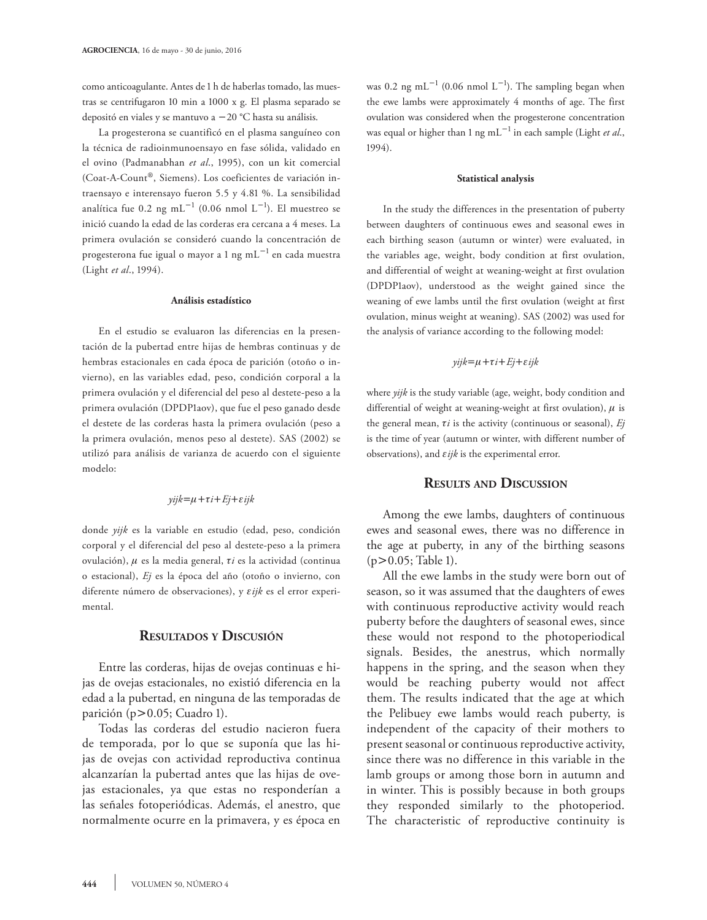como anticoagulante. Antes de 1 h de haberlas tomado, las muestras se centrifugaron 10 min a 1000 x g. El plasma separado se depositó en viales y se mantuvo a 20 °C hasta su análisis.

La progesterona se cuantificó en el plasma sanguíneo con la técnica de radioinmunoensayo en fase sólida, validado en el ovino (Padmanabhan *et al*., 1995), con un kit comercial (Coat-A-Count®, Siemens). Los coeficientes de variación intraensayo e interensayo fueron 5.5 y 4.81 %. La sensibilidad analítica fue 0.2 ng m $L^{-1}$  (0.06 nmol  $L^{-1}$ ). El muestreo se inició cuando la edad de las corderas era cercana a 4 meses. La primera ovulación se consideró cuando la concentración de progesterona fue igual o mayor a 1 ng m $\text{L}^{-1}$  en cada muestra (Light *et al*., 1994).

### **Análisis estadístico**

En el estudio se evaluaron las diferencias en la presentación de la pubertad entre hijas de hembras continuas y de hembras estacionales en cada época de parición (otoño o invierno), en las variables edad, peso, condición corporal a la primera ovulación y el diferencial del peso al destete-peso a la primera ovulación (DPDP1aov), que fue el peso ganado desde el destete de las corderas hasta la primera ovulación (peso a la primera ovulación, menos peso al destete). SAS (2002) se utilizó para análisis de varianza de acuerdo con el siguiente modelo:

$$
yijk = \mu + \tau i + Ej + \varepsilon ijk
$$

donde *yijk* es la variable en estudio (edad, peso, condición corporal y el diferencial del peso al destete-peso a la primera ovulación),  $\mu$  es la media general,  $\tau i$  es la actividad (continua o estacional), *Ej* es la época del año (otoño o invierno, con diferente número de observaciones), y  $\varepsilon i j k$  es el error experimental.

## **Resultados <sup>y</sup> Discusión**

Entre las corderas, hijas de ovejas continuas e hijas de ovejas estacionales, no existió diferencia en la edad a la pubertad, en ninguna de las temporadas de parición (p $> 0.05$ ; Cuadro 1).

Todas las corderas del estudio nacieron fuera de temporada, por lo que se suponía que las hijas de ovejas con actividad reproductiva continua alcanzarían la pubertad antes que las hijas de ovejas estacionales, ya que estas no responderían a las señales fotoperiódicas. Además, el anestro, que normalmente ocurre en la primavera, y es época en

was 0.2 ng mL<sup>-1</sup> (0.06 nmol L<sup>-1</sup>). The sampling began when the ewe lambs were approximately 4 months of age. The first ovulation was considered when the progesterone concentration was equal or higher than 1 ng mL<sup>-1</sup> in each sample (Light *et al.*, 1994).

#### **Statistical analysis**

In the study the differences in the presentation of puberty between daughters of continuous ewes and seasonal ewes in each birthing season (autumn or winter) were evaluated, in the variables age, weight, body condition at first ovulation, and differential of weight at weaning-weight at first ovulation (DPDP1aov), understood as the weight gained since the weaning of ewe lambs until the first ovulation (weight at first ovulation, minus weight at weaning). SAS (2002) was used for the analysis of variance according to the following model:

### $yijk = \mu + \tau i + Ej + \varepsilon ijk$

where *yijk* is the study variable (age, weight, body condition and differential of weight at weaning-weight at first ovulation),  $\mu$  is the general mean,  $\tau i$  is the activity (continuous or seasonal),  $Ej$ is the time of year (autumn or winter, with different number of observations), and  $\varepsilon$ *ijk* is the experimental error.

# **Results and Discussion**

Among the ewe lambs, daughters of continuous ewes and seasonal ewes, there was no difference in the age at puberty, in any of the birthing seasons  $(p>0.05;$  Table 1).

All the ewe lambs in the study were born out of season, so it was assumed that the daughters of ewes with continuous reproductive activity would reach puberty before the daughters of seasonal ewes, since these would not respond to the photoperiodical signals. Besides, the anestrus, which normally happens in the spring, and the season when they would be reaching puberty would not affect them. The results indicated that the age at which the Pelibuey ewe lambs would reach puberty, is independent of the capacity of their mothers to present seasonal or continuous reproductive activity, since there was no difference in this variable in the lamb groups or among those born in autumn and in winter. This is possibly because in both groups they responded similarly to the photoperiod. The characteristic of reproductive continuity is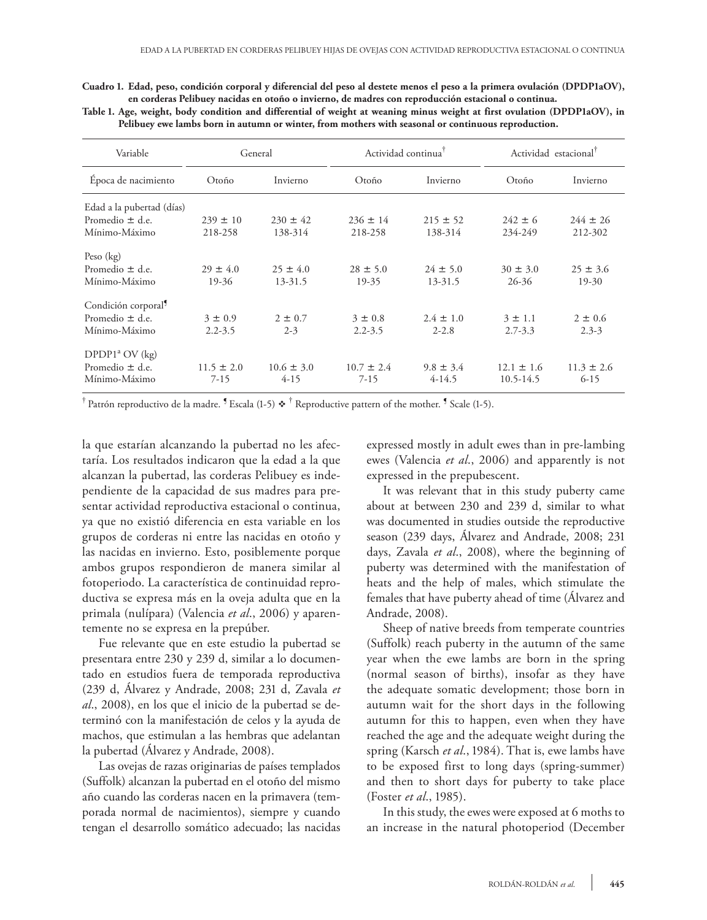**Cuadro 1. Edad, peso, condición corporal y diferencial del peso al destete menos el peso a la primera ovulación (DPDP1aOV), en corderas Pelibuey nacidas en otoño o invierno, de madres con reproducción estacional o continua.**

**Table 1. Age, weight, body condition and differential of weight at weaning minus weight at first ovulation (DPDP1aOV), in Pelibuey ewe lambs born in autumn or winter, from mothers with seasonal or continuous reproduction.**

| Variable                        | General        |                | Actividad continua <sup>†</sup> |               | Actividad estacional <sup>T</sup> |                |
|---------------------------------|----------------|----------------|---------------------------------|---------------|-----------------------------------|----------------|
| Época de nacimiento             | Otoño          | Invierno       | Otoño                           | Invierno      | Otoño                             | Invierno       |
| Edad a la pubertad (días)       |                |                |                                 |               |                                   |                |
| Promedio $\pm$ d.e.             | $239 \pm 10$   | $230 \pm 42$   | $236 \pm 14$                    | $215 \pm 52$  | $242 \pm 6$                       | $244 \pm 26$   |
| Mínimo-Máximo                   | 218-258        | 138-314        | 218-258                         | 138-314       | 234-249                           | 212-302        |
| Peso $(kg)$                     |                |                |                                 |               |                                   |                |
| Promedio $\pm$ d.e.             | $29 \pm 4.0$   | $25 \pm 4.0$   | $28 \pm 5.0$                    | $24 \pm 5.0$  | $30 \pm 3.0$                      | $25 \pm 3.6$   |
| Mínimo-Máximo                   | 19-36          | $13 - 31.5$    | 19-35                           | 13-31.5       | $26 - 36$                         | $19 - 30$      |
| Condición corporal <sup>9</sup> |                |                |                                 |               |                                   |                |
| Promedio $\pm$ d.e.             | $3 \pm 0.9$    | $2 \pm 0.7$    | $3 \pm 0.8$                     | $2.4 \pm 1.0$ | $3 \pm 1.1$                       | $2 \pm 0.6$    |
| Mínimo-Máximo                   | $2.2 - 3.5$    | $2 - 3$        | $2.2 - 3.5$                     | $2 - 2.8$     | $2.7 - 3.3$                       | $2.3 - 3$      |
| DPDP1 <sup>a</sup> OV (kg)      |                |                |                                 |               |                                   |                |
| Promedio $\pm$ d.e.             | $11.5 \pm 2.0$ | $10.6 \pm 3.0$ | $10.7 \pm 2.4$                  | $9.8 \pm 3.4$ | $12.1 \pm 1.6$                    | $11.3 \pm 2.6$ |
| Mínimo-Máximo                   | $7 - 15$       | $4-15$         | $7 - 15$                        | $4-14.5$      | 10.5-14.5                         | $6 - 15$       |

 $^\dagger$  Patrón reproductivo de la madre.  $^\P$  Escala (1-5)  $\bm{\dot{*}}$   $^\dagger$  Reproductive pattern of the mother.  $^\P$  Scale (1-5).

la que estarían alcanzando la pubertad no les afectaría. Los resultados indicaron que la edad a la que alcanzan la pubertad, las corderas Pelibuey es independiente de la capacidad de sus madres para presentar actividad reproductiva estacional o continua, ya que no existió diferencia en esta variable en los grupos de corderas ni entre las nacidas en otoño y las nacidas en invierno. Esto, posiblemente porque ambos grupos respondieron de manera similar al fotoperiodo. La característica de continuidad reproductiva se expresa más en la oveja adulta que en la primala (nulípara) (Valencia *et al*., 2006) y aparentemente no se expresa en la prepúber.

Fue relevante que en este estudio la pubertad se presentara entre 230 y 239 d, similar a lo documentado en estudios fuera de temporada reproductiva (239 d, Álvarez y Andrade, 2008; 231 d, Zavala *et al*., 2008), en los que el inicio de la pubertad se determinó con la manifestación de celos y la ayuda de machos, que estimulan a las hembras que adelantan la pubertad (Álvarez y Andrade, 2008).

Las ovejas de razas originarias de países templados (Suffolk) alcanzan la pubertad en el otoño del mismo año cuando las corderas nacen en la primavera (temporada normal de nacimientos), siempre y cuando tengan el desarrollo somático adecuado; las nacidas expressed mostly in adult ewes than in pre-lambing ewes (Valencia *et al*., 2006) and apparently is not expressed in the prepubescent.

It was relevant that in this study puberty came about at between 230 and 239 d, similar to what was documented in studies outside the reproductive season (239 days, Álvarez and Andrade, 2008; 231 days, Zavala *et al*., 2008), where the beginning of puberty was determined with the manifestation of heats and the help of males, which stimulate the females that have puberty ahead of time (Álvarez and Andrade, 2008).

Sheep of native breeds from temperate countries (Suffolk) reach puberty in the autumn of the same year when the ewe lambs are born in the spring (normal season of births), insofar as they have the adequate somatic development; those born in autumn wait for the short days in the following autumn for this to happen, even when they have reached the age and the adequate weight during the spring (Karsch *et al*., 1984). That is, ewe lambs have to be exposed first to long days (spring-summer) and then to short days for puberty to take place (Foster *et al*., 1985).

In this study, the ewes were exposed at 6 moths to an increase in the natural photoperiod (December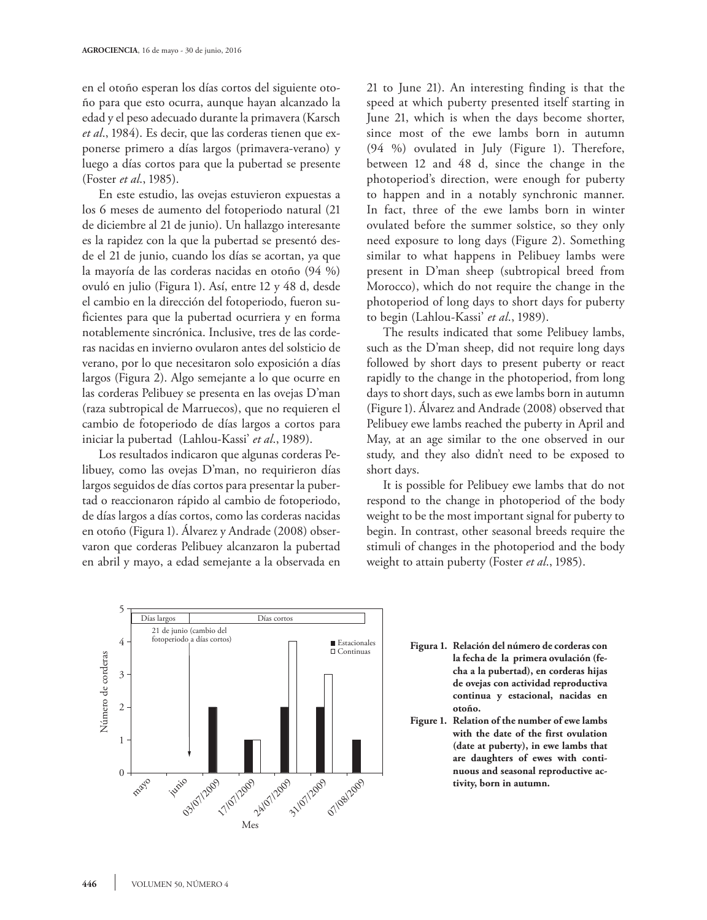en el otoño esperan los días cortos del siguiente otoño para que esto ocurra, aunque hayan alcanzado la edad y el peso adecuado durante la primavera (Karsch *et al*., 1984). Es decir, que las corderas tienen que exponerse primero a días largos (primavera-verano) y luego a días cortos para que la pubertad se presente (Foster *et al*., 1985).

En este estudio, las ovejas estuvieron expuestas a los 6 meses de aumento del fotoperiodo natural (21 de diciembre al 21 de junio). Un hallazgo interesante es la rapidez con la que la pubertad se presentó desde el 21 de junio, cuando los días se acortan, ya que la mayoría de las corderas nacidas en otoño (94 %) ovuló en julio (Figura 1). Así, entre 12 y 48 d, desde el cambio en la dirección del fotoperiodo, fueron suficientes para que la pubertad ocurriera y en forma notablemente sincrónica. Inclusive, tres de las corderas nacidas en invierno ovularon antes del solsticio de verano, por lo que necesitaron solo exposición a días largos (Figura 2). Algo semejante a lo que ocurre en las corderas Pelibuey se presenta en las ovejas D'man (raza subtropical de Marruecos), que no requieren el cambio de fotoperiodo de días largos a cortos para iniciar la pubertad (Lahlou-Kassi' *et al*., 1989).

Los resultados indicaron que algunas corderas Pelibuey, como las ovejas D'man, no requirieron días largos seguidos de días cortos para presentar la pubertad o reaccionaron rápido al cambio de fotoperiodo, de días largos a días cortos, como las corderas nacidas en otoño (Figura 1). Álvarez y Andrade (2008) observaron que corderas Pelibuey alcanzaron la pubertad en abril y mayo, a edad semejante a la observada en 21 to June 21). An interesting finding is that the speed at which puberty presented itself starting in June 21, which is when the days become shorter, since most of the ewe lambs born in autumn (94 %) ovulated in July (Figure 1). Therefore, between 12 and 48 d, since the change in the photoperiod's direction, were enough for puberty to happen and in a notably synchronic manner. In fact, three of the ewe lambs born in winter ovulated before the summer solstice, so they only need exposure to long days (Figure 2). Something similar to what happens in Pelibuey lambs were present in D'man sheep (subtropical breed from Morocco), which do not require the change in the photoperiod of long days to short days for puberty to begin (Lahlou-Kassi' *et al*., 1989).

The results indicated that some Pelibuey lambs, such as the D'man sheep, did not require long days followed by short days to present puberty or react rapidly to the change in the photoperiod, from long days to short days, such as ewe lambs born in autumn (Figure 1). Álvarez and Andrade (2008) observed that Pelibuey ewe lambs reached the puberty in April and May, at an age similar to the one observed in our study, and they also didn't need to be exposed to short days.

It is possible for Pelibuey ewe lambs that do not respond to the change in photoperiod of the body weight to be the most important signal for puberty to begin. In contrast, other seasonal breeds require the stimuli of changes in the photoperiod and the body weight to attain puberty (Foster *et al*., 1985).



- Figura 1. Relación del número de corderas con **la fecha de la primera ovulación (fecha a la pubertad), en corderas hijas de ovejas con actividad reproductiva continua y estacional, nacidas en otoño.**
- **Figure 1. Relation of the number of ewe lambs with the date of the first ovulation (date at puberty), in ewe lambs that are daughters of ewes with continuous and seasonal reproductive activity, born in autumn.**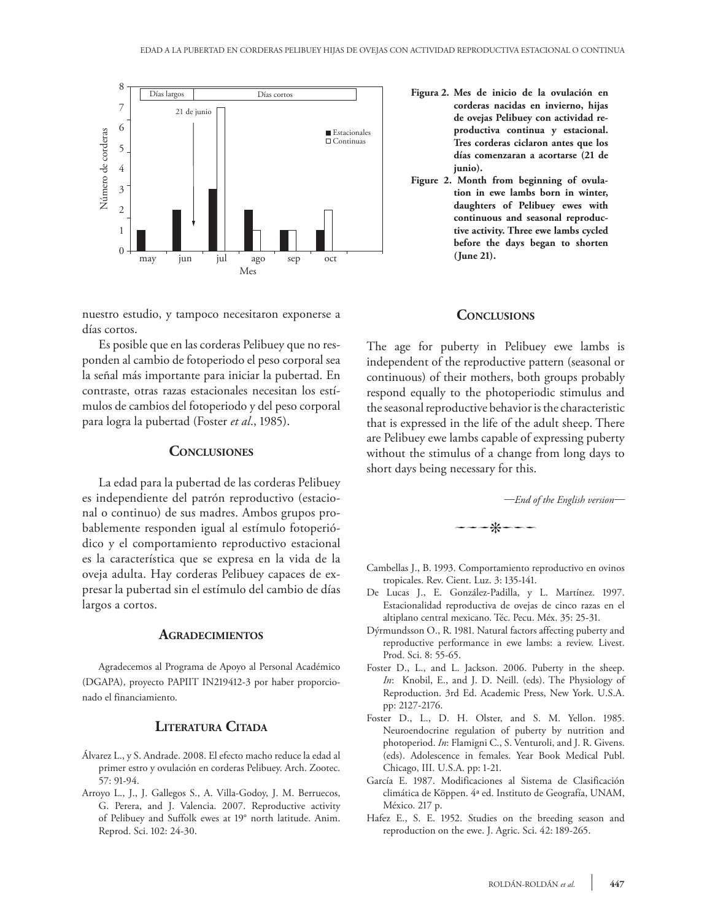

nuestro estudio, y tampoco necesitaron exponerse a días cortos.

Es posible que en las corderas Pelibuey que no responden al cambio de fotoperiodo el peso corporal sea la señal más importante para iniciar la pubertad. En contraste, otras razas estacionales necesitan los estímulos de cambios del fotoperiodo y del peso corporal para logra la pubertad (Foster *et al*., 1985).

# **Conclusiones**

La edad para la pubertad de las corderas Pelibuey es independiente del patrón reproductivo (estacional o continuo) de sus madres. Ambos grupos probablemente responden igual al estímulo fotoperiódico y el comportamiento reproductivo estacional es la característica que se expresa en la vida de la oveja adulta. Hay corderas Pelibuey capaces de expresar la pubertad sin el estímulo del cambio de días largos a cortos.

### **Agradecimientos**

Agradecemos al Programa de Apoyo al Personal Académico (DGAPA), proyecto PAPIIT IN219412-3 por haber proporcionado el financiamiento.

# **Literatura Citada**

- Álvarez L., y S. Andrade. 2008. El efecto macho reduce la edad al primer estro y ovulación en corderas Pelibuey. Arch. Zootec. 57: 91-94.
- Arroyo L., J., J. Gallegos S., A. Villa-Godoy, J. M. Berruecos, G. Perera, and J. Valencia. 2007. Reproductive activity of Pelibuey and Suffolk ewes at 19° north latitude. Anim. Reprod. Sci. 102: 24-30.
- **Figura 2. Mes de inicio de la ovulación en corderas nacidas en invierno, hijas de ovejas Pelibuey con actividad reproductiva continua y estacional. Tres corderas ciclaron antes que los días comenzaran a acortarse (21 de junio).**
- **Figure 2. Month from beginning of ovulation in ewe lambs born in winter, daughters of Pelibuey ewes with continuous and seasonal reproductive activity. Three ewe lambs cycled before the days began to shorten (June 21).**

### **Conclusions**

The age for puberty in Pelibuey ewe lambs is independent of the reproductive pattern (seasonal or continuous) of their mothers, both groups probably respond equally to the photoperiodic stimulus and the seasonal reproductive behavior is the characteristic that is expressed in the life of the adult sheep. There are Pelibuey ewe lambs capable of expressing puberty without the stimulus of a change from long days to short days being necessary for this.

*—End of the English version—*



- Cambellas J., B. 1993. Comportamiento reproductivo en ovinos tropicales. Rev. Cient. Luz. 3: 135-141.
- De Lucas J., E. González-Padilla, y L. Martínez. 1997. Estacionalidad reproductiva de ovejas de cinco razas en el altiplano central mexicano. Téc. Pecu. Méx. 35: 25-31.
- Dýrmundsson O., R. 1981. Natural factors affecting puberty and reproductive performance in ewe lambs: a review. Livest. Prod. Sci. 8: 55-65.
- Foster D., L., and L. Jackson. 2006. Puberty in the sheep. *In*: Knobil, E., and J. D. Neill. (eds). The Physiology of Reproduction. 3rd Ed. Academic Press, New York. U.S.A. pp: 2127-2176.
- Foster D., L., D. H. Olster, and S. M. Yellon. 1985. Neuroendocrine regulation of puberty by nutrition and photoperiod. *In*: Flamigni C., S. Venturoli, and J. R. Givens. (eds). Adolescence in females. Year Book Medical Publ. Chicago, III. U.S.A. pp: 1-21.
- García E. 1987. Modificaciones al Sistema de Clasificación climática de Köppen. 4ª ed. Instituto de Geografía, UNAM, México. 217 p.
- Hafez E., S. E. 1952. Studies on the breeding season and reproduction on the ewe. J. Agric. Sci. 42: 189-265.